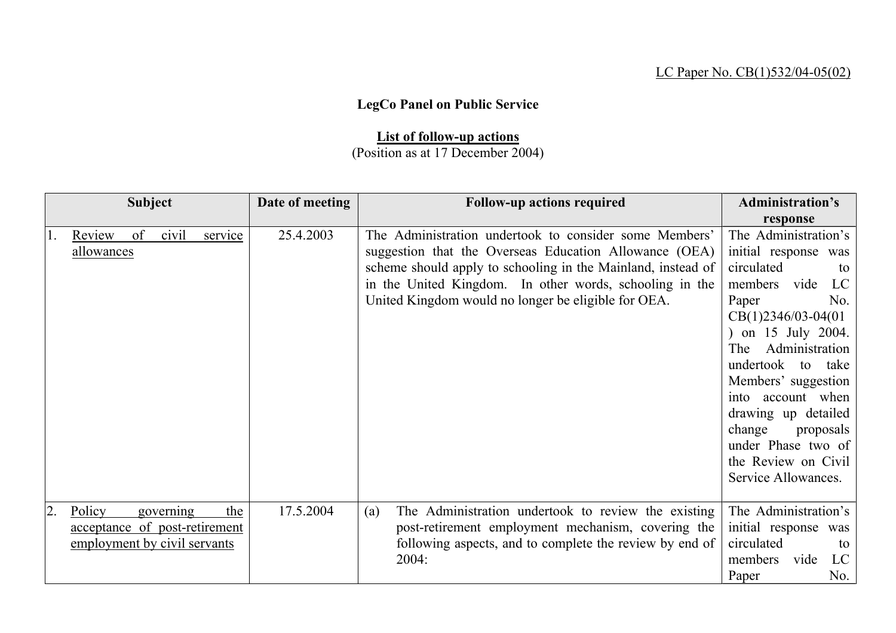## LC Paper No. CB(1)532/04-05(02)

## **LegCo Panel on Public Service**

## **List of follow-up actions**

## (Position as at 17 December 2004)

|     | <b>Subject</b>                |    |           |         | Date of meeting | <b>Follow-up actions required</b>                            | <b>Administration's</b> |
|-----|-------------------------------|----|-----------|---------|-----------------|--------------------------------------------------------------|-------------------------|
|     |                               |    |           |         |                 |                                                              | response                |
| 11. | Review                        | of | civil     | service | 25.4.2003       | The Administration undertook to consider some Members'       | The Administration's    |
|     | allowances                    |    |           |         |                 | suggestion that the Overseas Education Allowance (OEA)       | initial response<br>was |
|     |                               |    |           |         |                 | scheme should apply to schooling in the Mainland, instead of | circulated<br>to        |
|     |                               |    |           |         |                 | in the United Kingdom. In other words, schooling in the      | members vide<br>LC      |
|     |                               |    |           |         |                 | United Kingdom would no longer be eligible for OEA.          | Paper<br>No.            |
|     |                               |    |           |         |                 |                                                              | $CB(1)2346/03-04(01)$   |
|     |                               |    |           |         |                 |                                                              | ) on 15 July 2004.      |
|     |                               |    |           |         |                 |                                                              | Administration<br>The   |
|     |                               |    |           |         |                 |                                                              | undertook to take       |
|     |                               |    |           |         |                 |                                                              | Members' suggestion     |
|     |                               |    |           |         |                 |                                                              | into account when       |
|     |                               |    |           |         |                 |                                                              | drawing up detailed     |
|     |                               |    |           |         |                 |                                                              | change<br>proposals     |
|     |                               |    |           |         |                 |                                                              | under Phase two of      |
|     |                               |    |           |         |                 |                                                              | the Review on Civil     |
|     |                               |    |           |         |                 |                                                              | Service Allowances.     |
|     |                               |    |           |         |                 |                                                              |                         |
| 2.  | Policy                        |    | governing | the     | 17.5.2004       | The Administration undertook to review the existing<br>(a)   | The Administration's    |
|     | acceptance of post-retirement |    |           |         |                 | post-retirement employment mechanism, covering the           | initial response was    |
|     | employment by civil servants  |    |           |         |                 | following aspects, and to complete the review by end of      | circulated<br>to        |
|     |                               |    |           |         |                 | 2004:                                                        | LC<br>members<br>vide   |
|     |                               |    |           |         |                 |                                                              | No.<br>Paper            |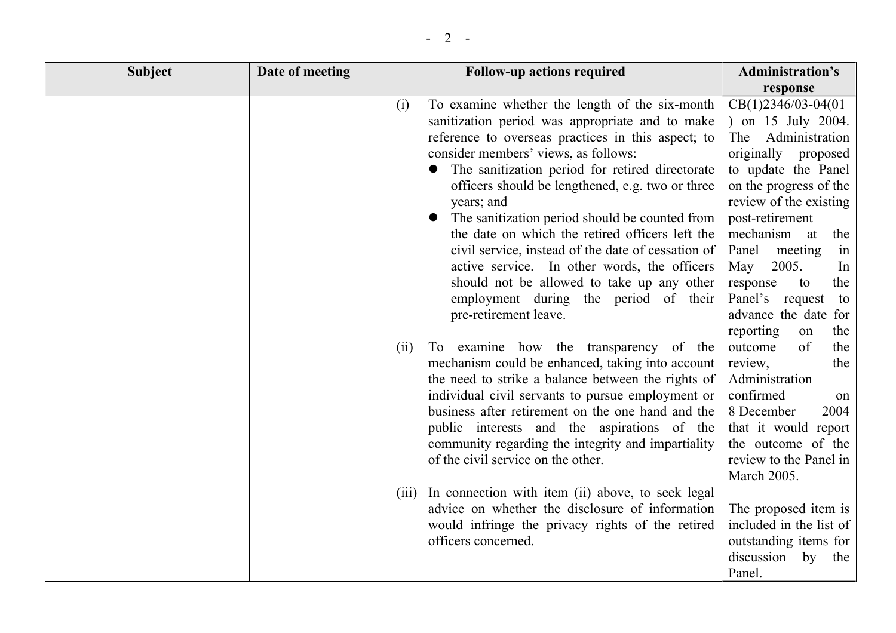| <b>Subject</b> | Date of meeting | <b>Follow-up actions required</b>                                                                                                                                                                                                                                                                                                                                                                                                                                                                                                                                                                                                                                                                                                                                                                                                                                                                                                                                                                                                 | <b>Administration's</b>                                                                                                                                                                                                                                                                                                                                                                                                                                                                                                    |
|----------------|-----------------|-----------------------------------------------------------------------------------------------------------------------------------------------------------------------------------------------------------------------------------------------------------------------------------------------------------------------------------------------------------------------------------------------------------------------------------------------------------------------------------------------------------------------------------------------------------------------------------------------------------------------------------------------------------------------------------------------------------------------------------------------------------------------------------------------------------------------------------------------------------------------------------------------------------------------------------------------------------------------------------------------------------------------------------|----------------------------------------------------------------------------------------------------------------------------------------------------------------------------------------------------------------------------------------------------------------------------------------------------------------------------------------------------------------------------------------------------------------------------------------------------------------------------------------------------------------------------|
|                |                 |                                                                                                                                                                                                                                                                                                                                                                                                                                                                                                                                                                                                                                                                                                                                                                                                                                                                                                                                                                                                                                   | response                                                                                                                                                                                                                                                                                                                                                                                                                                                                                                                   |
|                |                 | To examine whether the length of the six-month<br>(i)<br>sanitization period was appropriate and to make<br>reference to overseas practices in this aspect; to<br>consider members' views, as follows:<br>The sanitization period for retired directorate<br>officers should be lengthened, e.g. two or three<br>years; and<br>The sanitization period should be counted from<br>the date on which the retired officers left the<br>civil service, instead of the date of cessation of<br>active service. In other words, the officers<br>should not be allowed to take up any other<br>employment during the period of their<br>pre-retirement leave.<br>(ii)<br>To examine how the transparency of the<br>mechanism could be enhanced, taking into account<br>the need to strike a balance between the rights of<br>individual civil servants to pursue employment or<br>business after retirement on the one hand and the<br>public interests and the aspirations of the<br>community regarding the integrity and impartiality | $CB(1)2346/03-04(01)$<br>) on 15 July 2004.<br>Administration<br>The<br>originally<br>proposed<br>to update the Panel<br>on the progress of the<br>review of the existing<br>post-retirement<br>mechanism at<br>the<br>Panel<br>meeting<br>in<br>2005.<br>May<br>In<br>the<br>response<br>to<br>Panel's request<br>to<br>advance the date for<br>reporting<br>the<br>on<br>outcome<br>of<br>the<br>review,<br>the<br>Administration<br>confirmed<br>on<br>8 December<br>2004<br>that it would report<br>the outcome of the |
|                |                 | of the civil service on the other.<br>(iii) In connection with item (ii) above, to seek legal                                                                                                                                                                                                                                                                                                                                                                                                                                                                                                                                                                                                                                                                                                                                                                                                                                                                                                                                     | review to the Panel in<br>March 2005.                                                                                                                                                                                                                                                                                                                                                                                                                                                                                      |
|                |                 | advice on whether the disclosure of information<br>would infringe the privacy rights of the retired<br>officers concerned.                                                                                                                                                                                                                                                                                                                                                                                                                                                                                                                                                                                                                                                                                                                                                                                                                                                                                                        | The proposed item is<br>included in the list of<br>outstanding items for<br>discussion by<br>the<br>Panel.                                                                                                                                                                                                                                                                                                                                                                                                                 |